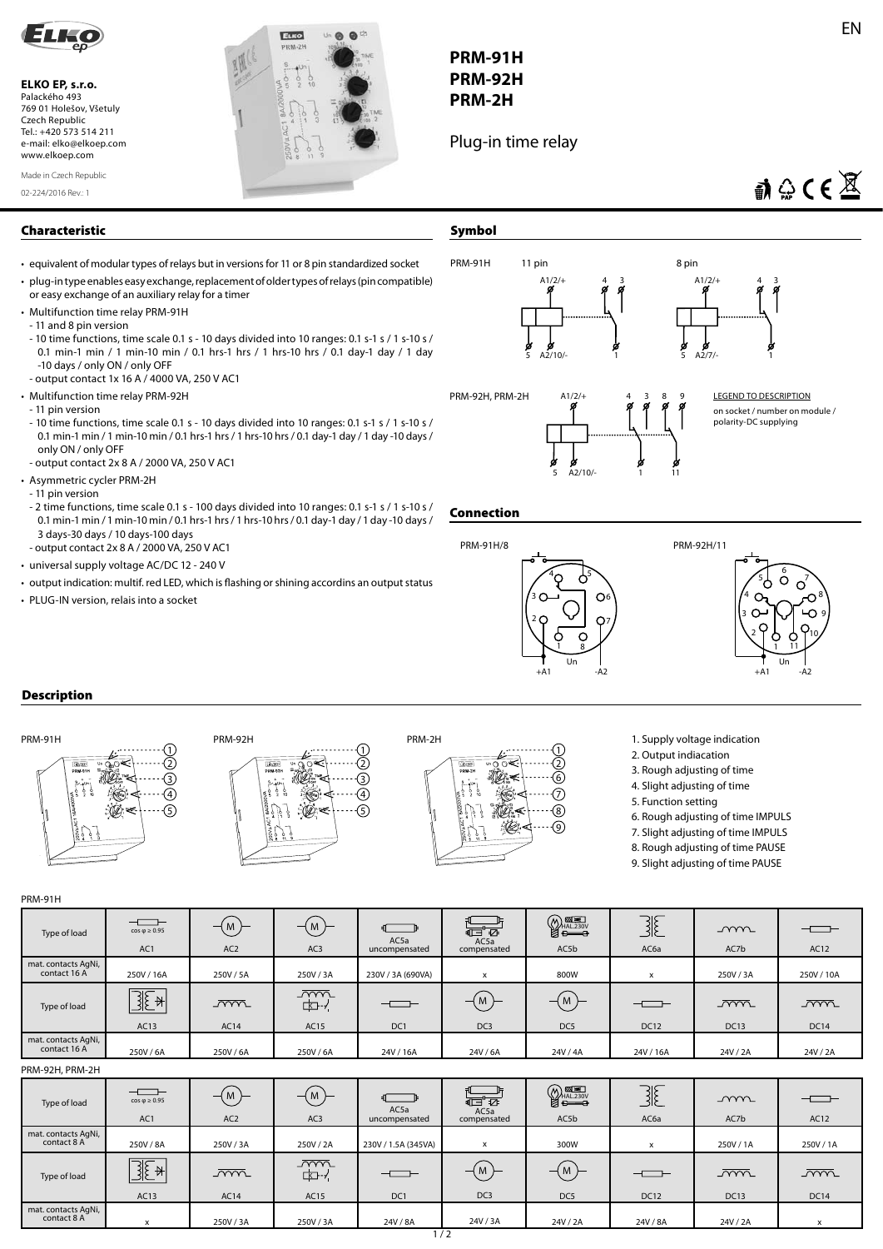

**ELKO EP, s.r.o.**  Palackého 493 769 01 Holešov, Všetuly Czech Republic Tel.: +420 573 514 211 e-mail: elko@elkoep.com www.elkoep.com

02-224/2016 Rev.: 1 Made in Czech Republic



## **PRM-91H PRM-92H PRM-2H**

Plug-in time relay

# $A \oplus C \in \overline{\mathbb{X}}$

### **Characteristic**

- equivalent of modular types of relays but in versions for 11 or 8 pin standardized socket
- plug-in type enables easy exchange, replacement of older types of relays (pin compatible) or easy exchange of an auxiliary relay for a timer
- Multifunction time relay PRM-91H
- 11 and 8 pin version
- 10 time functions, time scale 0.1 s 10 days divided into 10 ranges: 0.1 s-1 s / 1 s-10 s / 0.1 min-1 min / 1 min-10 min / 0.1 hrs-1 hrs / 1 hrs-10 hrs / 0.1 day-1 day / 1 day -10 days / only ON / only OFF
- output contact 1x 16 A / 4000 VA, 250 V AC1
- Multifunction time relay PRM-92H
- 11 pin version
- 10 time functions, time scale 0.1 s 10 days divided into 10 ranges: 0.1 s-1 s / 1 s-10 s / 0.1 min-1 min / 1 min-10 min / 0.1 hrs-1 hrs / 1 hrs-10 hrs / 0.1 day-1 day / 1 day -10 days / only ON / only OFF - output contact 2x 8 A / 2000 VA, 250 V AC1
- Asymmetric cycler PRM-2H
- 11 pin version
- 2 time functions, time scale 0.1 s 100 days divided into 10 ranges: 0.1 s-1 s / 1 s-10 s / 0.1 min-1 min / 1 min-10 min / 0.1 hrs-1 hrs / 1 hrs-10 hrs / 0.1 day-1 day / 1 day -10 days / 3 days-30 days / 10 days-100 days - output contact 2x 8 A / 2000 VA, 250 V AC1
- universal supply voltage AC/DC 12 240 V
- 
- output indication: multif. red LED, which is flashing or shining accordins an output status
- PLUG-IN version, relais into a socket



### **Connection**



#### $\int_{5}^{6}$   $\frac{5}{2}$ 4 8 ⊷ 3 9 2  $10$ 1 11 Un  $+A1$ -A2

#### **Description**



- 1. Supply voltage indication
- 2. Output indiacation
- 3. Rough adjusting of time
- 4. Slight adjusting of time
- 5. Function setting
	- 6. Rough adjusting of time IMPULS
	- 7. Slight adjusting of time IMPULS
	- 8. Rough adjusting of time PAUSE
	- 9. Slight adjusting of time PAUSE

#### PRM-91H

| Type of load                        | $\begin{tabular}{c} \top \end{tabular}$<br>$cos \varphi \ge 0.95$<br>AC1 | $-(M)$<br>AC <sub>2</sub> | $-\omega$<br>AC <sub>3</sub>        | $\sqrt{2}$<br>AC5a<br>uncompensated | 信で<br>AC5a<br>compensated | $\bigotimes_{\text{HAL.230V}}\underbrace{\overbrace{\text{MAL.230V}}$<br>AC5b | 3E<br>AC6a                                             | mm<br>AC7b                | $ -$<br>AC12              |
|-------------------------------------|--------------------------------------------------------------------------|---------------------------|-------------------------------------|-------------------------------------|---------------------------|-------------------------------------------------------------------------------|--------------------------------------------------------|---------------------------|---------------------------|
| mat. contacts AgNi,<br>contact 16 A | 250V / 16A                                                               | 250V/5A                   | 250V / 3A                           | 230V / 3A (690VA)                   | $\mathsf{x}$              | 800W                                                                          | x                                                      | 250V/3A                   | 250V / 10A                |
| Type of load                        | $\overline{\mathbb{E}^*}$<br>AC13                                        | $\overline{mm}$<br>AC14   | $\sim$<br>$\overline{K}$ -/<br>AC15 | DC1                                 | ( M )<br>DC <sub>3</sub>  | $-(M)$<br>DC5                                                                 | $\begin{tabular}{c} \top \end{tabular}$<br><b>DC12</b> | <u>_ww</u><br><b>DC13</b> | <u>_ww</u><br><b>DC14</b> |
| mat. contacts AgNi,<br>contact 16 A | 250V/6A                                                                  | 250V/6A                   | 250V / 6A                           | 24V / 16A                           | 24V/6A                    | 24V / 4A                                                                      | 24V / 16A                                              | 24V / 2A                  | 24V / 2A                  |
| PRM-92H, PRM-2H                     |                                                                          |                           |                                     |                                     |                           |                                                                               |                                                        |                           |                           |

| Type of load                       | $\begin{tabular}{c} \top \end{tabular}$<br>$cos \phi \ge 0.95$<br>AC1 | $-$ ( M )<br>AC <sub>2</sub> | $-(M)$<br>AC <sub>3</sub>         | AC5a<br>uncompensated | $\overline{d}$<br>AC5a<br>compensated | $\begin{picture}(180,10) \put(0,0){\line(1,0){10}} \put(10,0){\line(1,0){10}} \put(10,0){\line(1,0){10}} \put(10,0){\line(1,0){10}} \put(10,0){\line(1,0){10}} \put(10,0){\line(1,0){10}} \put(10,0){\line(1,0){10}} \put(10,0){\line(1,0){10}} \put(10,0){\line(1,0){10}} \put(10,0){\line(1,0){10}} \put(10,0){\line(1,0){10}} \put(10,0){\line($<br>AC5b | 3E<br>AC <sub>6a</sub>                                 | mm<br>AC7b     | --<br>AC12            |
|------------------------------------|-----------------------------------------------------------------------|------------------------------|-----------------------------------|-----------------------|---------------------------------------|-------------------------------------------------------------------------------------------------------------------------------------------------------------------------------------------------------------------------------------------------------------------------------------------------------------------------------------------------------------|--------------------------------------------------------|----------------|-----------------------|
| mat. contacts AgNi,<br>contact 8 A | 250V / 8A                                                             | 250V/3A                      | 250V / 2A                         | 230V / 1.5A (345VA)   | x                                     | 300W                                                                                                                                                                                                                                                                                                                                                        |                                                        | 250V/1A        | 250V / 1A             |
| Type of load                       | RF,<br>$\cdot$ $\,$<br>ರ೬<br>AC13                                     | $\sim$<br>AC14               | $\overline{mm}$<br>$\Box$<br>AC15 | ────<br>DC1           | , M<br>DC <sub>3</sub>                | $-$ (M<br>DC5                                                                                                                                                                                                                                                                                                                                               | $\begin{tabular}{c} \top \end{tabular}$<br><b>DC12</b> | $\sim$<br>DC13 | $\sim$<br><b>DC14</b> |
| mat. contacts AgNi,<br>contact 8 A |                                                                       | 250V / 3A                    | 250V / 3A                         | 24V / 8A              | 24V / 3A                              | 24V / 2A                                                                                                                                                                                                                                                                                                                                                    | 24V/8A                                                 | 24V / 2A       |                       |